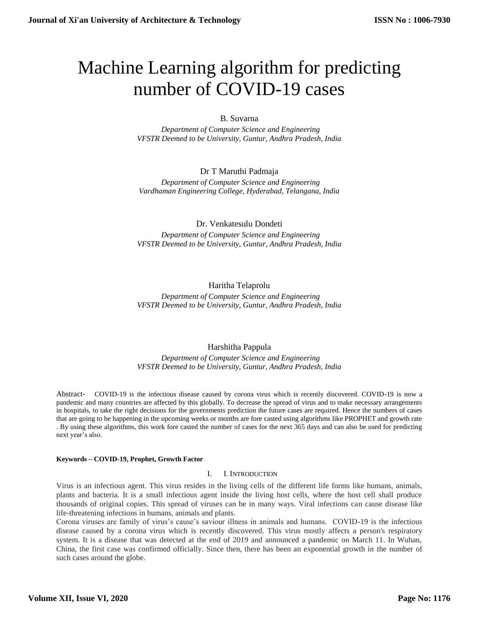# Machine Learning algorithm for predicting number of COVID-19 cases

# B. Suvarna

 *Department of Computer Science and Engineering VFSTR Deemed to be University, Guntur, Andhra Pradesh, India*

# Dr T Maruthi Padmaja

 *Department of Computer Science and Engineering Vardhaman Engineering College, Hyderabad, Telangana, India*

# Dr. Venkatesulu Dondeti

 *Department of Computer Science and Engineering VFSTR Deemed to be University, Guntur, Andhra Pradesh, India*

# Haritha Telaprolu

 *Department of Computer Science and Engineering VFSTR Deemed to be University, Guntur, Andhra Pradesh, India*

# Harshitha Pappula

 *Department of Computer Science and Engineering VFSTR Deemed to be University, Guntur, Andhra Pradesh, India*

Abstract- COVID-19 is the infectious disease caused by corona virus which is recently discovered. COVID-19 is now a pandemic and many countries are affected by this globally. To decrease the spread of virus and to make necessary arrangements in hospitals, to take the right decisions for the governments prediction the future cases are required. Hence the numbers of cases that are going to be happening in the upcoming weeks or months are fore casted using algorithms like PROPHET and growth rate . By using these algorithms, this work fore casted the number of cases for the next 365 days and can also be used for predicting next year's also.

## **Keywords – COVID-19, Prophet, Growth Factor**

# I. I. INTRODUCTION

Virus is an infectious agent. This virus resides in the living cells of the different life forms like humans, animals, plants and bacteria. It is a small infectious agent inside the living host cells, where the host cell shall produce thousands of original copies. This spread of viruses can be in many ways. Viral infections can cause disease like life-threatening infections in humans, animals and plants.

Corona viruses are family of virus's cause's saviour illness in animals and humans. COVID-19 is the infectious disease caused by a corona virus which is recently discovered. This virus mostly affects a person's respiratory system. It is a disease that was detected at the end of 2019 and announced a pandemic on March 11. In Wuhan, China, the first case was confirmed officially. Since then, there has been an exponential growth in the number of such cases around the globe.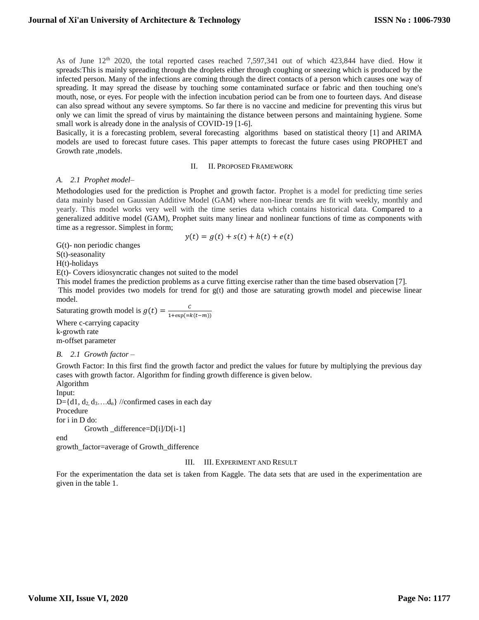As of June 12<sup>th</sup> 2020, the total reported cases reached 7,597,341 out of which 423,844 have died. How it spreads:This is mainly spreading through the droplets either through coughing or sneezing which is produced by the infected person. Many of the infections are coming through the direct contacts of a person which causes one way of spreading. It may spread the disease by touching some contaminated surface or fabric and then touching one's mouth, nose, or eyes. For people with the infection incubation period can be from one to fourteen days. And disease can also spread without any severe symptoms. So far there is no vaccine and medicine for preventing this virus but only we can limit the spread of virus by maintaining the distance between persons and maintaining hygiene. Some small work is already done in the analysis of COVID-19 [1-6].

Basically, it is a forecasting problem, several forecasting algorithms based on statistical theory [1] and ARIMA models are used to forecast future cases. This paper attempts to forecast the future cases using PROPHET and Growth rate ,models.

#### II. II. PROPOSED FRAMEWORK

## *A. 2.1 Prophet model–*

Methodologies used for the prediction is Prophet and growth factor. Prophet is a model for predicting time series data mainly based on Gaussian Additive Model (GAM) where non-linear trends are fit with weekly, monthly and yearly. This model works very well with the time series data which contains historical data. Compared to a generalized additive model (GAM), Prophet suits many linear and nonlinear functions of time as components with time as a regressor. Simplest in form;

$$
y(t) = g(t) + s(t) + h(t) + e(t)
$$

G(t)- non periodic changes

S(t)-seasonality

H(t)-holidays

E(t)- Covers idiosyncratic changes not suited to the model

This model frames the prediction problems as a curve fitting exercise rather than the time based observation [7]. This model provides two models for trend for g(t) and those are saturating growth model and piecewise linear model.

Saturating growth model is  $g(t) = \frac{c}{1 + \frac{c}{c}}$  $1+exp(=k(t-m))$ 

Where c-carrying capacity k-growth rate m-offset parameter

## *B. 2.1 Growth factor –*

Growth Factor: In this first find the growth factor and predict the values for future by multiplying the previous day cases with growth factor. Algorithm for finding growth difference is given below.

Algorithm

Input: D={d1,  $d_2, d_3$ .... $d_n$ } //confirmed cases in each day Procedure

for i in D do:

Growth \_difference=D[i]/D[i-1]

end

growth\_factor=average of Growth\_difference

## III. III. EXPERIMENT AND RESULT

For the experimentation the data set is taken from Kaggle. The data sets that are used in the experimentation are given in the table 1.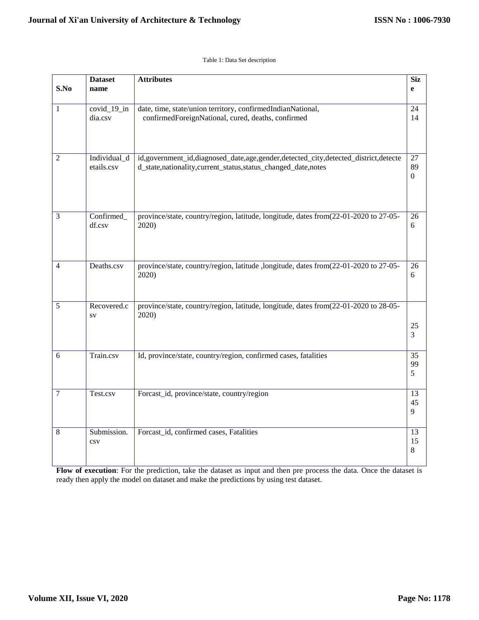## Table 1: Data Set description

| S.No             | <b>Dataset</b><br>name     | <b>Attributes</b>                                                                                                                                  | <b>Siz</b><br>e              |
|------------------|----------------------------|----------------------------------------------------------------------------------------------------------------------------------------------------|------------------------------|
| $\mathbf{1}$     | $covid_19_in$<br>dia.csv   | date, time, state/union territory, confirmedIndianNational,<br>confirmedForeignNational, cured, deaths, confirmed                                  |                              |
| $\overline{2}$   | Individual_d<br>etails.csv | id,government_id,diagnosed_date,age,gender,detected_city,detected_district,detecte<br>d_state,nationality,current_status,status_changed_date,notes | 27<br>89<br>$\boldsymbol{0}$ |
| $\mathfrak{Z}$   | Confirmed_<br>df.csv       | province/state, country/region, latitude, longitude, dates from(22-01-2020 to 27-05-<br>2020)                                                      | 26<br>6                      |
| 4                | Deaths.csv                 | province/state, country/region, latitude ,longitude, dates from(22-01-2020 to 27-05-<br>2020)                                                      | 26<br>6                      |
| $\sqrt{5}$       | Recovered.c<br>$S_{\rm V}$ | province/state, country/region, latitude, longitude, dates from(22-01-2020 to 28-05-<br>2020)                                                      | 25<br>3                      |
| 6                | Train.csv                  | Id, province/state, country/region, confirmed cases, fatalities                                                                                    |                              |
| $\boldsymbol{7}$ | Test.csv                   | Forcast_id, province/state, country/region                                                                                                         | 13<br>45<br>9                |
| $\,8\,$          | Submission.<br>$\cos v$    | Forcast_id, confirmed cases, Fatalities                                                                                                            | 13<br>15<br>8                |

**Flow of execution**: For the prediction, take the dataset as input and then pre process the data. Once the dataset is ready then apply the model on dataset and make the predictions by using test dataset.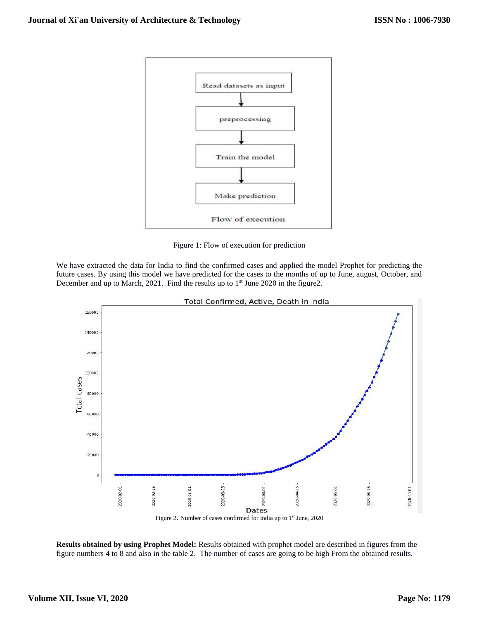

Figure 1: Flow of execution for prediction

We have extracted the data for India to find the confirmed cases and applied the model Prophet for predicting the future cases. By using this model we have predicted for the cases to the months of up to June, august, October, and December and up to March, 2021. Find the results up to 1<sup>st</sup> June 2020 in the figure2.



Total Confirmed, Active, Death in India

**Results obtained by using Prophet Model:** Results obtained with prophet model are described in figures from the figure numbers 4 to 8 and also in the table 2. The number of cases are going to be high From the obtained results.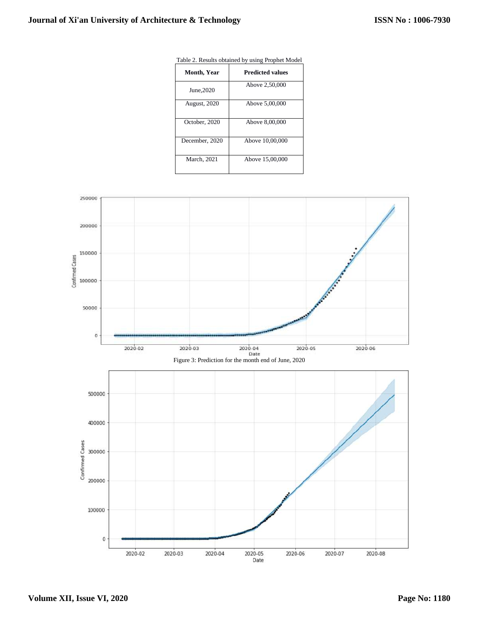| <b>Month, Year</b>  | <b>Predicted values</b> |  |
|---------------------|-------------------------|--|
| June, 2020          | Above 2,50,000          |  |
| <b>August, 2020</b> | Above 5,00,000          |  |
| October, 2020       | Above 8,00,000          |  |
| December, 2020      | Above 10,00,000         |  |
| March, 2021         | Above 15,00,000         |  |

Table 2. Results obtained by using Prophet Model

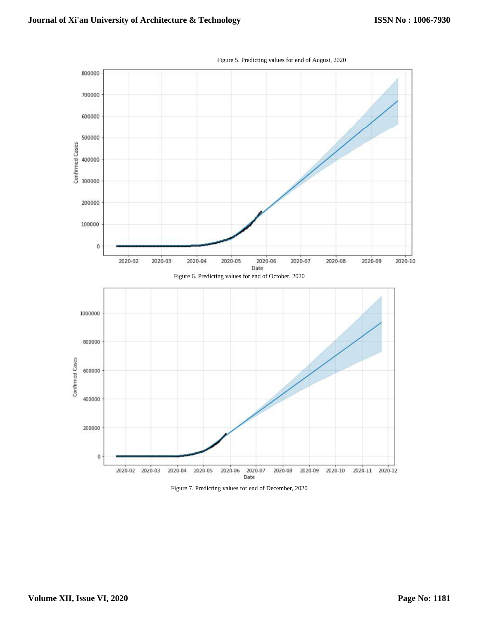

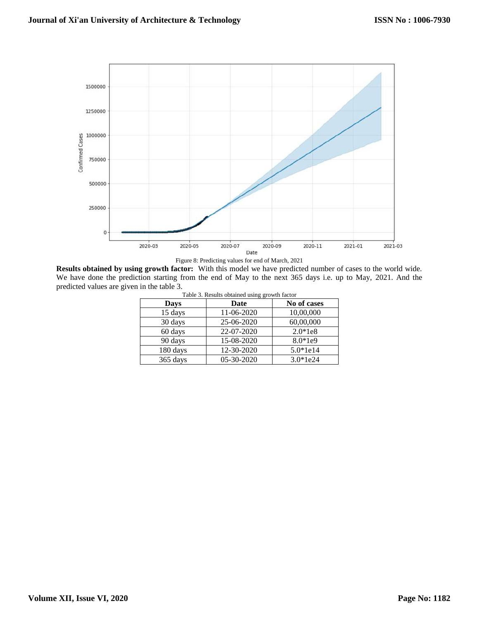

Figure 8: Predicting values for end of March, 2021

**Results obtained by using growth factor:** With this model we have predicted number of cases to the world wide. We have done the prediction starting from the end of May to the next 365 days i.e. up to May, 2021. And the predicted values are given in the table 3.

| Table 3. Results obtained using growth factor |            |             |  |  |  |  |
|-----------------------------------------------|------------|-------------|--|--|--|--|
| Days                                          | Date       | No of cases |  |  |  |  |
| 15 days                                       | 11-06-2020 | 10,00,000   |  |  |  |  |
| 30 days                                       | 25-06-2020 | 60,00,000   |  |  |  |  |
| 60 days                                       | 22-07-2020 | $2.0*1e8$   |  |  |  |  |
| 90 days                                       | 15-08-2020 | 8.0*1e9     |  |  |  |  |
| 180 days                                      | 12-30-2020 | $5.0*1e14$  |  |  |  |  |
| 365 days                                      | 05-30-2020 | $3.0*1e24$  |  |  |  |  |
|                                               |            |             |  |  |  |  |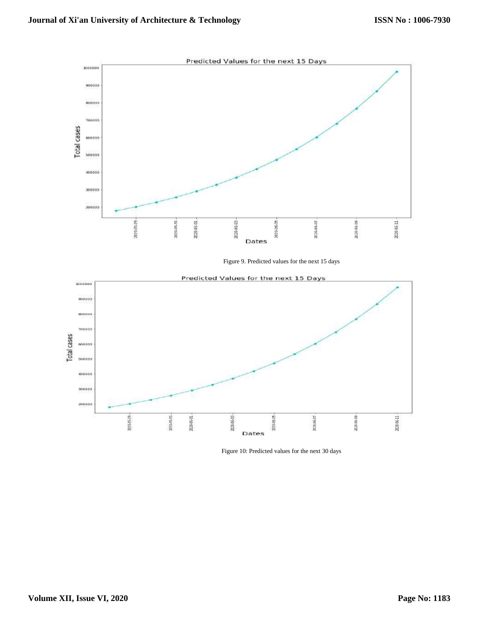

Figure 9. Predicted values for the next 15 days



Figure 10: Predicted values for the next 30 days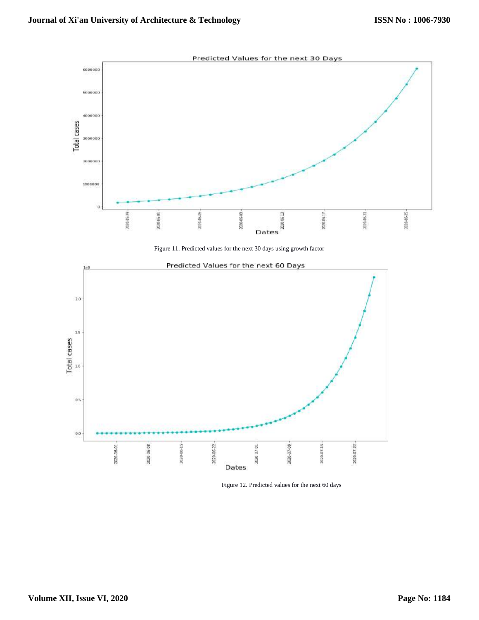

Figure 11. Predicted values for the next 30 days using growth factor



Figure 12. Predicted values for the next 60 days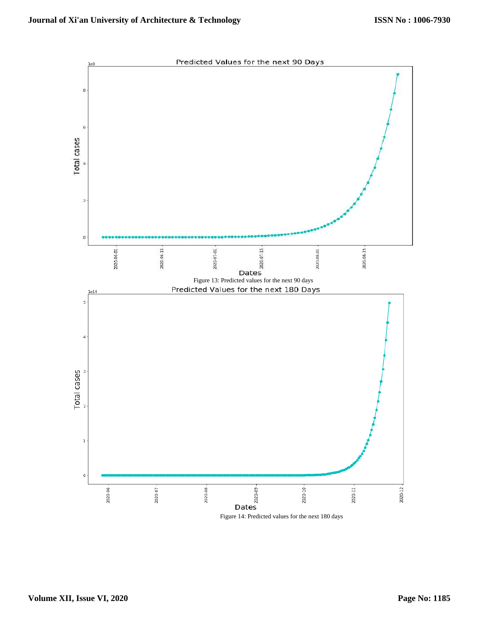

Figure 14: Predicted values for the next 180 days